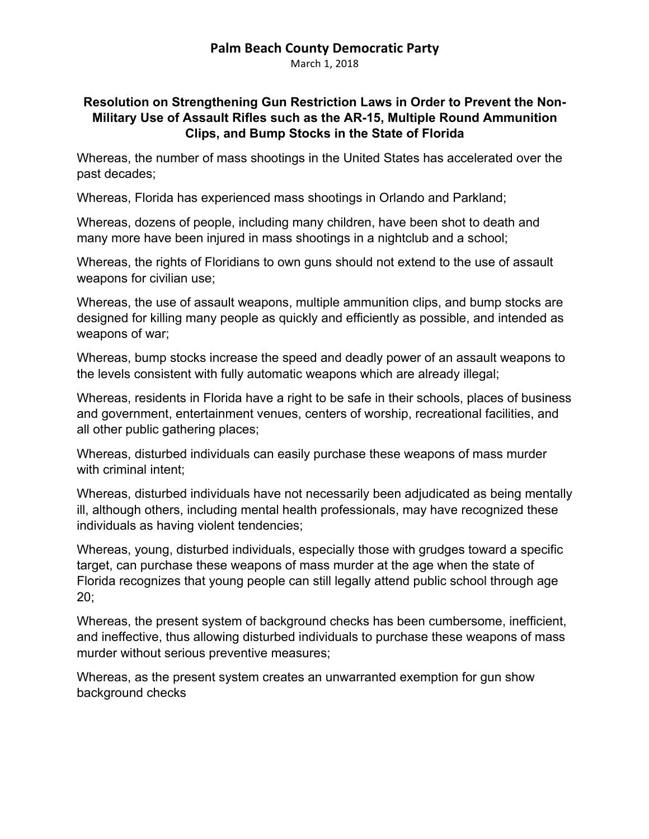## **Palm Beach County Democratic Party**

March 1, 2018

## **Resolution on Strengthening Gun Restriction Laws in Order to Prevent the Non-Military Use of Assault Rifles such as the AR-15, Multiple Round Ammunition Clips, and Bump Stocks in the State of Florida**

Whereas, the number of mass shootings in the United States has accelerated over the past decades;

Whereas, Florida has experienced mass shootings in Orlando and Parkland;

Whereas, dozens of people, including many children, have been shot to death and many more have been injured in mass shootings in a nightclub and a school;

Whereas, the rights of Floridians to own guns should not extend to the use of assault weapons for civilian use;

Whereas, the use of assault weapons, multiple ammunition clips, and bump stocks are designed for killing many people as quickly and efficiently as possible, and intended as weapons of war;

Whereas, bump stocks increase the speed and deadly power of an assault weapons to the levels consistent with fully automatic weapons which are already illegal;

Whereas, residents in Florida have a right to be safe in their schools, places of business and government, entertainment venues, centers of worship, recreational facilities, and all other public gathering places;

Whereas, disturbed individuals can easily purchase these weapons of mass murder with criminal intent;

Whereas, disturbed individuals have not necessarily been adjudicated as being mentally ill, although others, including mental health professionals, may have recognized these individuals as having violent tendencies;

Whereas, young, disturbed individuals, especially those with grudges toward a specific target, can purchase these weapons of mass murder at the age when the state of Florida recognizes that young people can still legally attend public school through age 20;

Whereas, the present system of background checks has been cumbersome, inefficient, and ineffective, thus allowing disturbed individuals to purchase these weapons of mass murder without serious preventive measures;

Whereas, as the present system creates an unwarranted exemption for gun show background checks